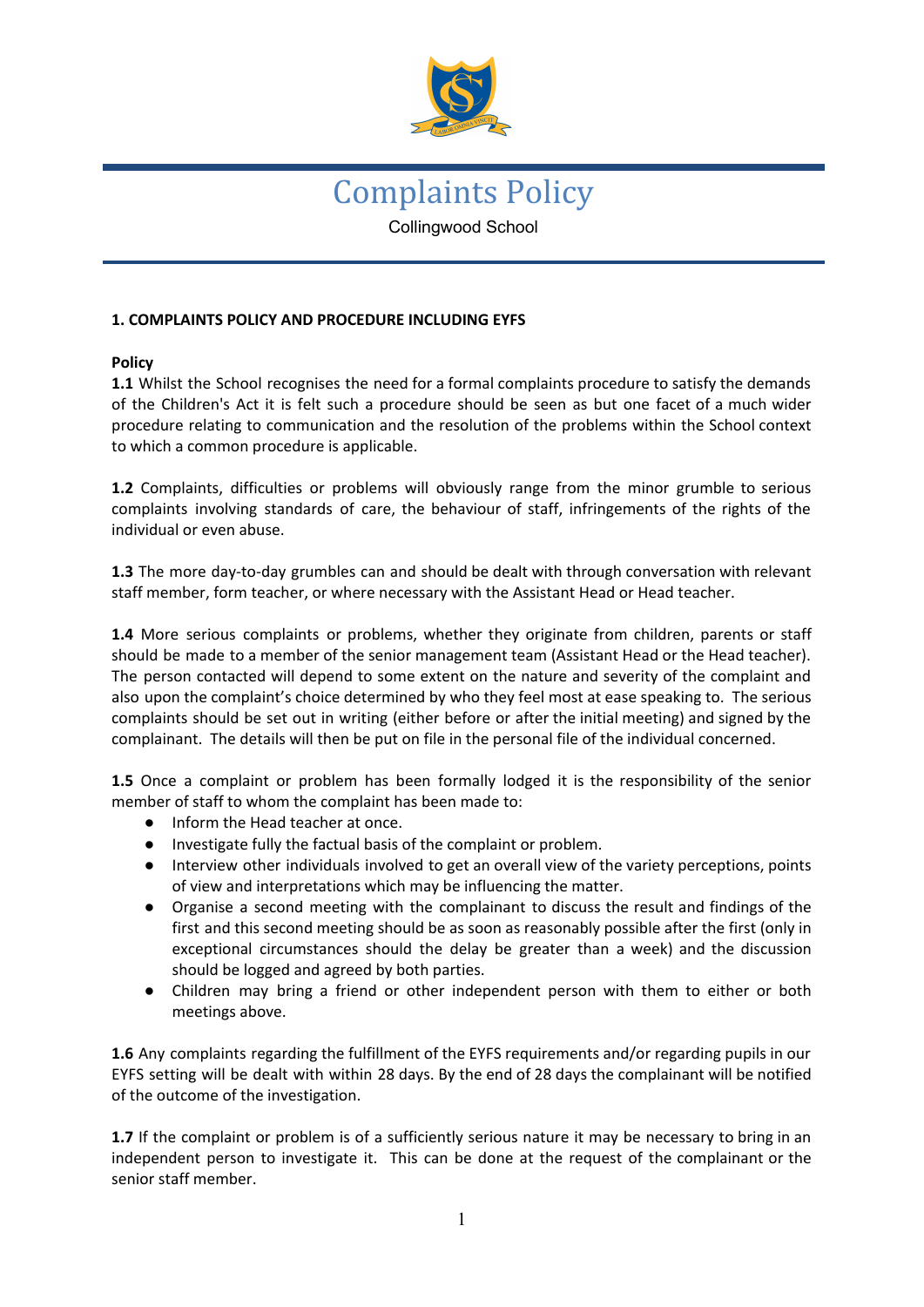

# Complaints Policy Collingwood School

## **1. COMPLAINTS POLICY AND PROCEDURE INCLUDING EYFS**

### **Policy**

**1.1** Whilst the School recognises the need for a formal complaints procedure to satisfy the demands of the Children's Act it is felt such a procedure should be seen as but one facet of a much wider procedure relating to communication and the resolution of the problems within the School context to which a common procedure is applicable.

**1.2** Complaints, difficulties or problems will obviously range from the minor grumble to serious complaints involving standards of care, the behaviour of staff, infringements of the rights of the individual or even abuse.

**1.3** The more day-to-day grumbles can and should be dealt with through conversation with relevant staff member, form teacher, or where necessary with the Assistant Head or Head teacher.

**1.4** More serious complaints or problems, whether they originate from children, parents or staff should be made to a member of the senior management team (Assistant Head or the Head teacher). The person contacted will depend to some extent on the nature and severity of the complaint and also upon the complaint's choice determined by who they feel most at ease speaking to. The serious complaints should be set out in writing (either before or after the initial meeting) and signed by the complainant. The details will then be put on file in the personal file of the individual concerned.

**1.5** Once a complaint or problem has been formally lodged it is the responsibility of the senior member of staff to whom the complaint has been made to:

- Inform the Head teacher at once.
- Investigate fully the factual basis of the complaint or problem.
- Interview other individuals involved to get an overall view of the variety perceptions, points of view and interpretations which may be influencing the matter.
- Organise a second meeting with the complainant to discuss the result and findings of the first and this second meeting should be as soon as reasonably possible after the first (only in exceptional circumstances should the delay be greater than a week) and the discussion should be logged and agreed by both parties.
- Children may bring a friend or other independent person with them to either or both meetings above.

**1.6** Any complaints regarding the fulfillment of the EYFS requirements and/or regarding pupils in our EYFS setting will be dealt with within 28 days. By the end of 28 days the complainant will be notified of the outcome of the investigation.

**1.7** If the complaint or problem is of a sufficiently serious nature it may be necessary to bring in an independent person to investigate it. This can be done at the request of the complainant or the senior staff member.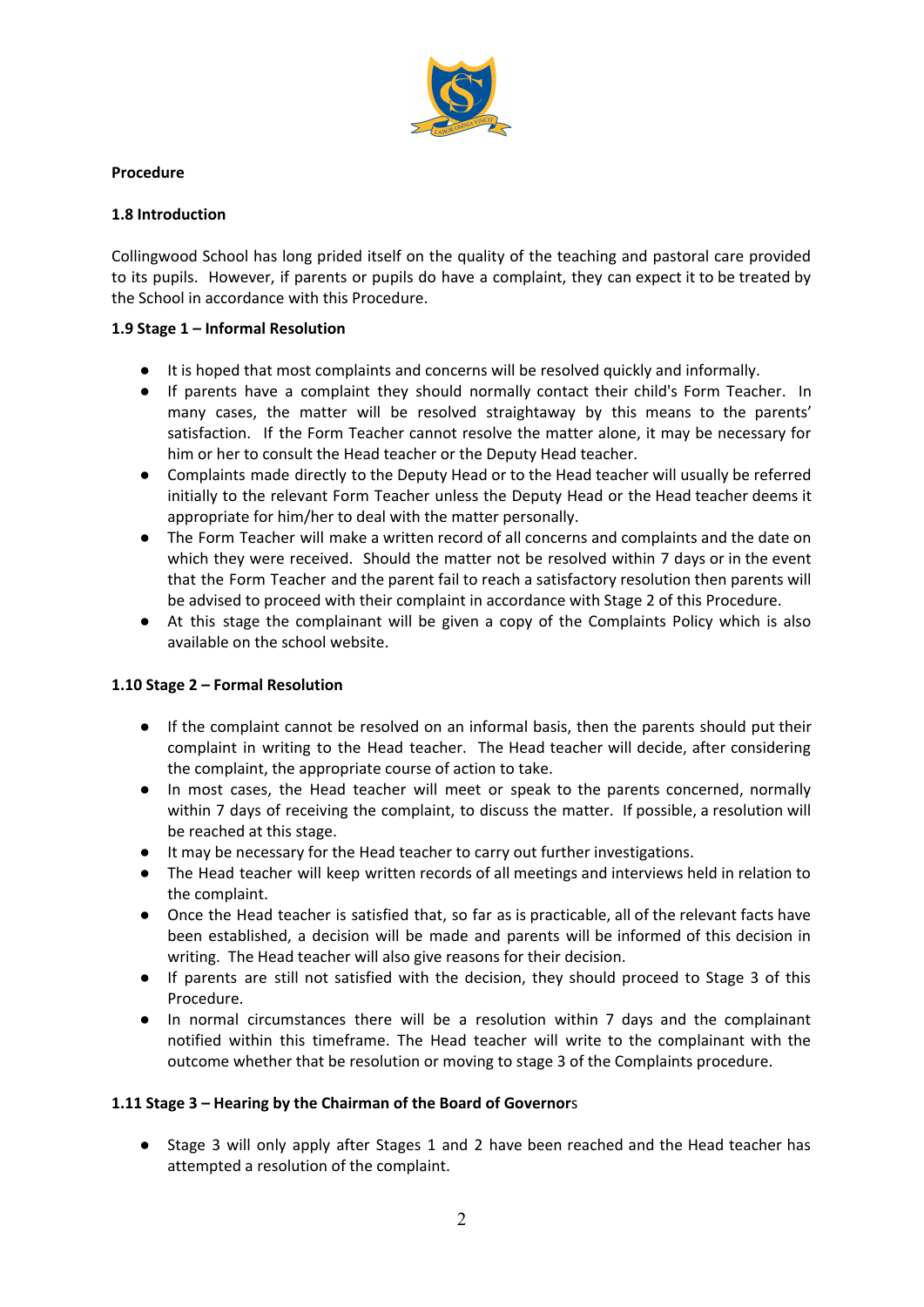

### **Procedure**

### **1.8 Introduction**

Collingwood School has long prided itself on the quality of the teaching and pastoral care provided to its pupils. However, if parents or pupils do have a complaint, they can expect it to be treated by the School in accordance with this Procedure.

### **1.9 Stage 1 – Informal Resolution**

- It is hoped that most complaints and concerns will be resolved quickly and informally.
- If parents have a complaint they should normally contact their child's Form Teacher. In many cases, the matter will be resolved straightaway by this means to the parents' satisfaction. If the Form Teacher cannot resolve the matter alone, it may be necessary for him or her to consult the Head teacher or the Deputy Head teacher.
- Complaints made directly to the Deputy Head or to the Head teacher will usually be referred initially to the relevant Form Teacher unless the Deputy Head or the Head teacher deems it appropriate for him/her to deal with the matter personally.
- The Form Teacher will make a written record of all concerns and complaints and the date on which they were received. Should the matter not be resolved within 7 days or in the event that the Form Teacher and the parent fail to reach a satisfactory resolution then parents will be advised to proceed with their complaint in accordance with Stage 2 of this Procedure.
- At this stage the complainant will be given a copy of the Complaints Policy which is also available on the school website.

## **1.10 Stage 2 – Formal Resolution**

- If the complaint cannot be resolved on an informal basis, then the parents should put their complaint in writing to the Head teacher. The Head teacher will decide, after considering the complaint, the appropriate course of action to take.
- In most cases, the Head teacher will meet or speak to the parents concerned, normally within 7 days of receiving the complaint, to discuss the matter. If possible, a resolution will be reached at this stage.
- It may be necessary for the Head teacher to carry out further investigations.
- The Head teacher will keep written records of all meetings and interviews held in relation to the complaint.
- Once the Head teacher is satisfied that, so far as is practicable, all of the relevant facts have been established, a decision will be made and parents will be informed of this decision in writing. The Head teacher will also give reasons for their decision.
- If parents are still not satisfied with the decision, they should proceed to Stage 3 of this Procedure.
- In normal circumstances there will be a resolution within 7 days and the complainant notified within this timeframe. The Head teacher will write to the complainant with the outcome whether that be resolution or moving to stage 3 of the Complaints procedure.

## **1.11 Stage 3 – Hearing by the Chairman of the Board of Governor**s

Stage 3 will only apply after Stages 1 and 2 have been reached and the Head teacher has attempted a resolution of the complaint.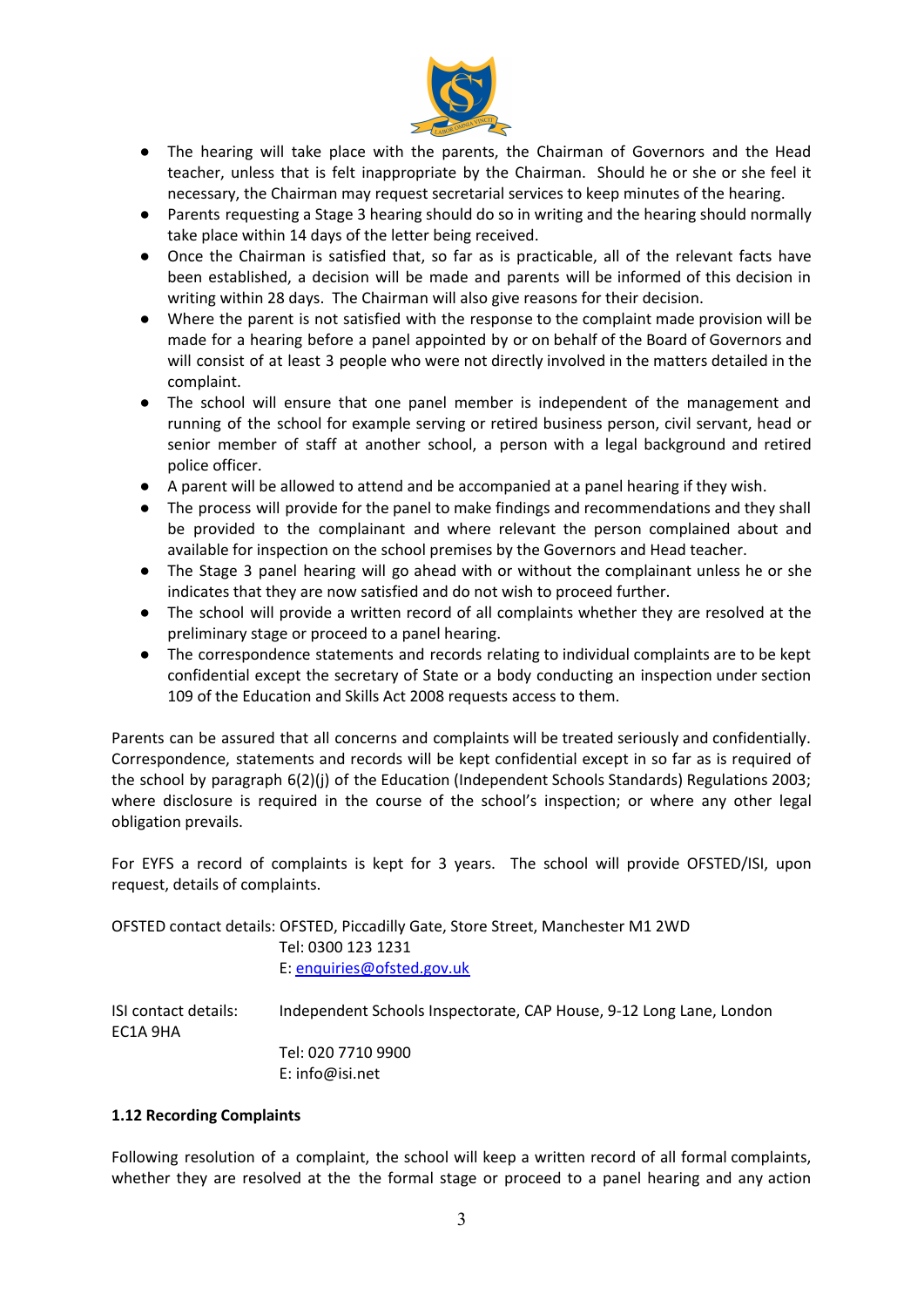

- The hearing will take place with the parents, the Chairman of Governors and the Head teacher, unless that is felt inappropriate by the Chairman. Should he or she or she feel it necessary, the Chairman may request secretarial services to keep minutes of the hearing.
- Parents requesting a Stage 3 hearing should do so in writing and the hearing should normally take place within 14 days of the letter being received.
- Once the Chairman is satisfied that, so far as is practicable, all of the relevant facts have been established, a decision will be made and parents will be informed of this decision in writing within 28 days. The Chairman will also give reasons for their decision.
- Where the parent is not satisfied with the response to the complaint made provision will be made for a hearing before a panel appointed by or on behalf of the Board of Governors and will consist of at least 3 people who were not directly involved in the matters detailed in the complaint.
- The school will ensure that one panel member is independent of the management and running of the school for example serving or retired business person, civil servant, head or senior member of staff at another school, a person with a legal background and retired police officer.
- A parent will be allowed to attend and be accompanied at a panel hearing if they wish.
- The process will provide for the panel to make findings and recommendations and they shall be provided to the complainant and where relevant the person complained about and available for inspection on the school premises by the Governors and Head teacher.
- The Stage 3 panel hearing will go ahead with or without the complainant unless he or she indicates that they are now satisfied and do not wish to proceed further.
- The school will provide a written record of all complaints whether they are resolved at the preliminary stage or proceed to a panel hearing.
- The correspondence statements and records relating to individual complaints are to be kept confidential except the secretary of State or a body conducting an inspection under section 109 of the Education and Skills Act 2008 requests access to them.

Parents can be assured that all concerns and complaints will be treated seriously and confidentially. Correspondence, statements and records will be kept confidential except in so far as is required of the school by paragraph 6(2)(j) of the Education (Independent Schools Standards) Regulations 2003; where disclosure is required in the course of the school's inspection; or where any other legal obligation prevails.

For EYFS a record of complaints is kept for 3 years. The school will provide OFSTED/ISI, upon request, details of complaints.

OFSTED contact details: OFSTED, Piccadilly Gate, Store Street, Manchester M1 2WD Tel: 0300 123 1231 E: [enquiries@ofsted.gov.uk](mailto:enquiries@ofsted.gov.uk)

ISI contact details: Independent Schools Inspectorate, CAP House, 9-12 Long Lane, London EC1A 9HA Tel: 020 7710 9900 E: info@isi.net

#### **1.12 Recording Complaints**

Following resolution of a complaint, the school will keep a written record of all formal complaints, whether they are resolved at the the formal stage or proceed to a panel hearing and any action